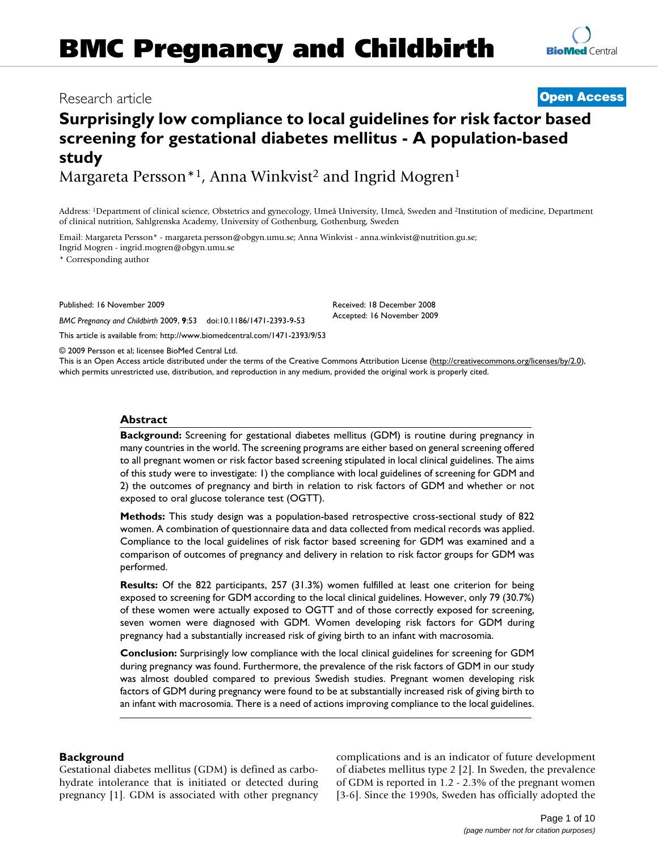# **Surprisingly low compliance to local guidelines for risk factor based screening for gestational diabetes mellitus - A population-based study**

Margareta Persson\*1, Anna Winkvist<sup>2</sup> and Ingrid Mogren<sup>1</sup>

Address: 1Department of clinical science, Obstetrics and gynecology, Umeå University, Umeå, Sweden and 2Institution of medicine, Department of clinical nutrition, Sahlgrenska Academy, University of Gothenburg, Gothenburg, Sweden

Email: Margareta Persson\* - margareta.persson@obgyn.umu.se; Anna Winkvist - anna.winkvist@nutrition.gu.se; Ingrid Mogren - ingrid.mogren@obgyn.umu.se

\* Corresponding author

Published: 16 November 2009

*BMC Pregnancy and Childbirth* 2009, **9**:53 doi:10.1186/1471-2393-9-53

[This article is available from: http://www.biomedcentral.com/1471-2393/9/53](http://www.biomedcentral.com/1471-2393/9/53)

© 2009 Persson et al; licensee BioMed Central Ltd.

This is an Open Access article distributed under the terms of the Creative Commons Attribution License [\(http://creativecommons.org/licenses/by/2.0\)](http://creativecommons.org/licenses/by/2.0), which permits unrestricted use, distribution, and reproduction in any medium, provided the original work is properly cited.

## **Abstract**

**Background:** Screening for gestational diabetes mellitus (GDM) is routine during pregnancy in many countries in the world. The screening programs are either based on general screening offered to all pregnant women or risk factor based screening stipulated in local clinical guidelines. The aims of this study were to investigate: 1) the compliance with local guidelines of screening for GDM and 2) the outcomes of pregnancy and birth in relation to risk factors of GDM and whether or not exposed to oral glucose tolerance test (OGTT).

**Methods:** This study design was a population-based retrospective cross-sectional study of 822 women. A combination of questionnaire data and data collected from medical records was applied. Compliance to the local guidelines of risk factor based screening for GDM was examined and a comparison of outcomes of pregnancy and delivery in relation to risk factor groups for GDM was performed.

**Results:** Of the 822 participants, 257 (31.3%) women fulfilled at least one criterion for being exposed to screening for GDM according to the local clinical guidelines. However, only 79 (30.7%) of these women were actually exposed to OGTT and of those correctly exposed for screening, seven women were diagnosed with GDM. Women developing risk factors for GDM during pregnancy had a substantially increased risk of giving birth to an infant with macrosomia.

**Conclusion:** Surprisingly low compliance with the local clinical guidelines for screening for GDM during pregnancy was found. Furthermore, the prevalence of the risk factors of GDM in our study was almost doubled compared to previous Swedish studies. Pregnant women developing risk factors of GDM during pregnancy were found to be at substantially increased risk of giving birth to an infant with macrosomia. There is a need of actions improving compliance to the local guidelines.

## **Background**

Gestational diabetes mellitus (GDM) is defined as carbohydrate intolerance that is initiated or detected during pregnancy [\[1\]](#page-9-0). GDM is associated with other pregnancy complications and is an indicator of future development of diabetes mellitus type 2 [\[2\]](#page-9-1). In Sweden, the prevalence of GDM is reported in 1.2 - 2.3% of the pregnant women [[3-](#page-9-2)[6](#page-9-3)]. Since the 1990s, Sweden has officially adopted the



# **[Open Access](http://www.biomedcentral.com/info/about/charter/)**

Accepted: 16 November 2009

Received: 18 December 2008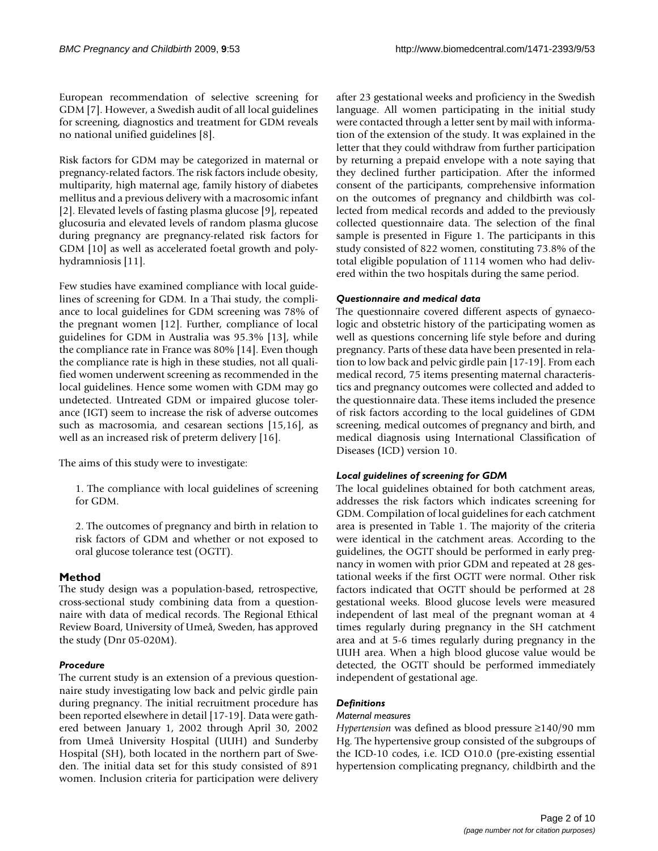European recommendation of selective screening for GDM [\[7\]](#page-9-4). However, a Swedish audit of all local guidelines for screening, diagnostics and treatment for GDM reveals no national unified guidelines [[8](#page-9-5)].

Risk factors for GDM may be categorized in maternal or pregnancy-related factors. The risk factors include obesity, multiparity, high maternal age, family history of diabetes mellitus and a previous delivery with a macrosomic infant [[2\]](#page-9-1). Elevated levels of fasting plasma glucose [\[9\]](#page-9-6), repeated glucosuria and elevated levels of random plasma glucose during pregnancy are pregnancy-related risk factors for GDM [\[10\]](#page-9-7) as well as accelerated foetal growth and polyhydramniosis [[11](#page-9-8)].

Few studies have examined compliance with local guidelines of screening for GDM. In a Thai study, the compliance to local guidelines for GDM screening was 78% of the pregnant women [[12\]](#page-9-9). Further, compliance of local guidelines for GDM in Australia was 95.3% [\[13](#page-9-10)], while the compliance rate in France was 80% [[14\]](#page-9-11). Even though the compliance rate is high in these studies, not all qualified women underwent screening as recommended in the local guidelines. Hence some women with GDM may go undetected. Untreated GDM or impaired glucose tolerance (IGT) seem to increase the risk of adverse outcomes such as macrosomia, and cesarean sections [\[15](#page-9-12)[,16](#page-9-13)], as well as an increased risk of preterm delivery [[16](#page-9-13)].

The aims of this study were to investigate:

1. The compliance with local guidelines of screening for GDM.

2. The outcomes of pregnancy and birth in relation to risk factors of GDM and whether or not exposed to oral glucose tolerance test (OGTT).

## **Method**

The study design was a population-based, retrospective, cross-sectional study combining data from a questionnaire with data of medical records. The Regional Ethical Review Board, University of Umeå, Sweden, has approved the study (Dnr 05-020M).

## *Procedure*

The current study is an extension of a previous questionnaire study investigating low back and pelvic girdle pain during pregnancy. The initial recruitment procedure has been reported elsewhere in detail [\[17](#page-9-14)[-19](#page-9-15)]. Data were gathered between January 1, 2002 through April 30, 2002 from Umeå University Hospital (UUH) and Sunderby Hospital (SH), both located in the northern part of Sweden. The initial data set for this study consisted of 891 women. Inclusion criteria for participation were delivery

after 23 gestational weeks and proficiency in the Swedish language. All women participating in the initial study were contacted through a letter sent by mail with information of the extension of the study. It was explained in the letter that they could withdraw from further participation by returning a prepaid envelope with a note saying that they declined further participation. After the informed consent of the participants, comprehensive information on the outcomes of pregnancy and childbirth was collected from medical records and added to the previously collected questionnaire data. The selection of the final sample is presented in Figure [1](#page-2-0). The participants in this study consisted of 822 women, constituting 73.8% of the total eligible population of 1114 women who had delivered within the two hospitals during the same period.

# *Questionnaire and medical data*

The questionnaire covered different aspects of gynaecologic and obstetric history of the participating women as well as questions concerning life style before and during pregnancy. Parts of these data have been presented in relation to low back and pelvic girdle pain [[17](#page-9-14)-[19](#page-9-15)]. From each medical record, 75 items presenting maternal characteristics and pregnancy outcomes were collected and added to the questionnaire data. These items included the presence of risk factors according to the local guidelines of GDM screening, medical outcomes of pregnancy and birth, and medical diagnosis using International Classification of Diseases (ICD) version 10.

## *Local guidelines of screening for GDM*

The local guidelines obtained for both catchment areas, addresses the risk factors which indicates screening for GDM. Compilation of local guidelines for each catchment area is presented in Table [1](#page-3-0). The majority of the criteria were identical in the catchment areas. According to the guidelines, the OGTT should be performed in early pregnancy in women with prior GDM and repeated at 28 gestational weeks if the first OGTT were normal. Other risk factors indicated that OGTT should be performed at 28 gestational weeks. Blood glucose levels were measured independent of last meal of the pregnant woman at 4 times regularly during pregnancy in the SH catchment area and at 5-6 times regularly during pregnancy in the UUH area. When a high blood glucose value would be detected, the OGTT should be performed immediately independent of gestational age.

## *Definitions*

## *Maternal measures*

*Hypertension* was defined as blood pressure ≥140/90 mm Hg. The hypertensive group consisted of the subgroups of the ICD-10 codes, i.e. ICD O10.0 (pre-existing essential hypertension complicating pregnancy, childbirth and the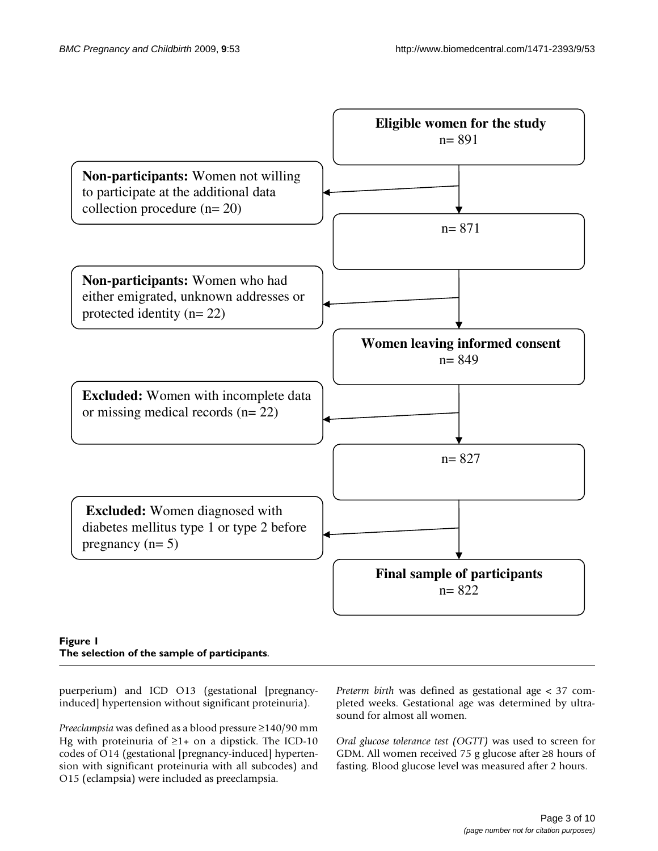<span id="page-2-0"></span>

## Figure 1 **The selection of the sample of participants**.

puerperium) and ICD O13 (gestational [pregnancyinduced] hypertension without significant proteinuria).

*Preeclampsia* was defined as a blood pressure ≥140/90 mm Hg with proteinuria of  $\geq 1+$  on a dipstick. The ICD-10 codes of O14 (gestational [pregnancy-induced] hypertension with significant proteinuria with all subcodes) and O15 (eclampsia) were included as preeclampsia.

*Preterm birth* was defined as gestational age < 37 completed weeks. Gestational age was determined by ultrasound for almost all women.

*Oral glucose tolerance test (OGTT)* was used to screen for GDM. All women received 75 g glucose after ≥8 hours of fasting. Blood glucose level was measured after 2 hours.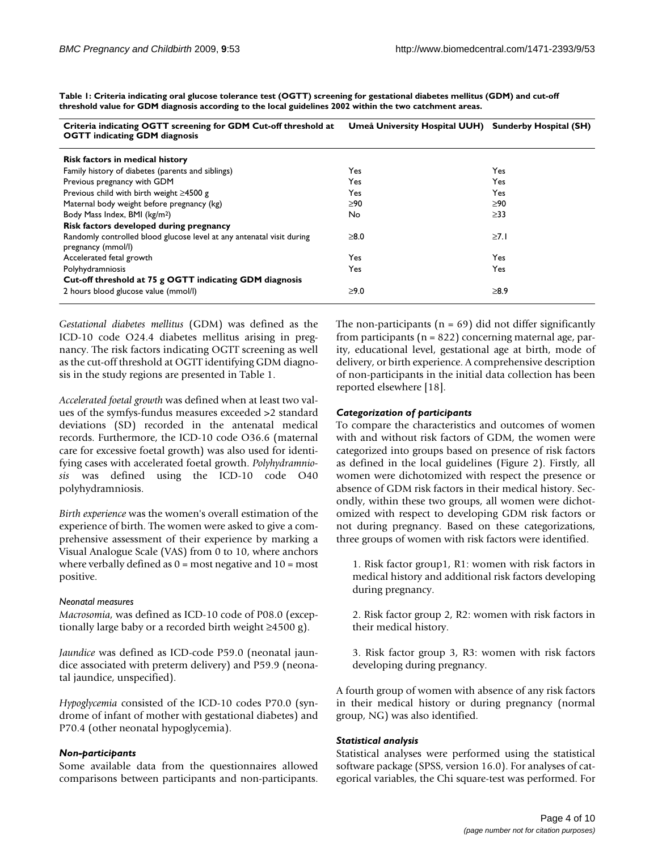| Criteria indicating OGTT screening for GDM Cut-off threshold at<br><b>OGTT</b> indicating GDM diagnosis | Umeå University Hospital UUH) Sunderby Hospital (SH) |            |
|---------------------------------------------------------------------------------------------------------|------------------------------------------------------|------------|
| Risk factors in medical history                                                                         |                                                      |            |
| Family history of diabetes (parents and siblings)                                                       | Yes                                                  | Yes.       |
| Previous pregnancy with GDM                                                                             | Yes                                                  | Yes        |
| Previous child with birth weight $\geq$ 4500 g                                                          | Yes                                                  | Yes.       |
| Maternal body weight before pregnancy (kg)                                                              | ≥90                                                  | ≥90        |
| Body Mass Index, BMI (kg/m <sup>2</sup> )                                                               | No.                                                  | $\geq$ 33  |
| Risk factors developed during pregnancy                                                                 |                                                      |            |
| Randomly controlled blood glucose level at any antenatal visit during<br>pregnancy (mmol/l)             | $\geq 8.0$                                           | $\geq 7.1$ |
| Accelerated fetal growth                                                                                | Yes                                                  | Yes        |
| Polyhydramniosis                                                                                        | Yes                                                  | Yes.       |
| Cut-off threshold at 75 g OGTT indicating GDM diagnosis                                                 |                                                      |            |
| 2 hours blood glucose value (mmol/l)                                                                    | ≥9.0                                                 | $\geq 8.9$ |

<span id="page-3-0"></span>**Table 1: Criteria indicating oral glucose tolerance test (OGTT) screening for gestational diabetes mellitus (GDM) and cut-off threshold value for GDM diagnosis according to the local guidelines 2002 within the two catchment areas.**

*Gestational diabetes mellitus* (GDM) was defined as the ICD-10 code O24.4 diabetes mellitus arising in pregnancy. The risk factors indicating OGTT screening as well as the cut-off threshold at OGTT identifying GDM diagnosis in the study regions are presented in Table [1](#page-3-0).

*Accelerated foetal growth* was defined when at least two values of the symfys-fundus measures exceeded >2 standard deviations (SD) recorded in the antenatal medical records. Furthermore, the ICD-10 code O36.6 (maternal care for excessive foetal growth) was also used for identifying cases with accelerated foetal growth. *Polyhydramniosis* was defined using the ICD-10 code O40 polyhydramniosis.

*Birth experience* was the women's overall estimation of the experience of birth. The women were asked to give a comprehensive assessment of their experience by marking a Visual Analogue Scale (VAS) from 0 to 10, where anchors where verbally defined as  $0 =$  most negative and  $10 =$  most positive.

#### *Neonatal measures*

*Macrosomia*, was defined as ICD-10 code of P08.0 (exceptionally large baby or a recorded birth weight ≥4500 g).

*Jaundice* was defined as ICD-code P59.0 (neonatal jaundice associated with preterm delivery) and P59.9 (neonatal jaundice, unspecified).

*Hypoglycemia* consisted of the ICD-10 codes P70.0 (syndrome of infant of mother with gestational diabetes) and P70.4 (other neonatal hypoglycemia).

#### *Non-participants*

Some available data from the questionnaires allowed comparisons between participants and non-participants.

The non-participants ( $n = 69$ ) did not differ significantly from participants ( $n = 822$ ) concerning maternal age, parity, educational level, gestational age at birth, mode of delivery, or birth experience. A comprehensive description of non-participants in the initial data collection has been reported elsewhere [\[18](#page-9-16)].

#### *Categorization of participants*

To compare the characteristics and outcomes of women with and without risk factors of GDM, the women were categorized into groups based on presence of risk factors as defined in the local guidelines (Figure [2](#page-4-0)). Firstly, all women were dichotomized with respect the presence or absence of GDM risk factors in their medical history. Secondly, within these two groups, all women were dichotomized with respect to developing GDM risk factors or not during pregnancy. Based on these categorizations, three groups of women with risk factors were identified.

1. Risk factor group1, R1: women with risk factors in medical history and additional risk factors developing during pregnancy.

2. Risk factor group 2, R2: women with risk factors in their medical history.

3. Risk factor group 3, R3: women with risk factors developing during pregnancy.

A fourth group of women with absence of any risk factors in their medical history or during pregnancy (normal group, NG) was also identified.

#### *Statistical analysis*

Statistical analyses were performed using the statistical software package (SPSS, version 16.0). For analyses of categorical variables, the Chi square-test was performed. For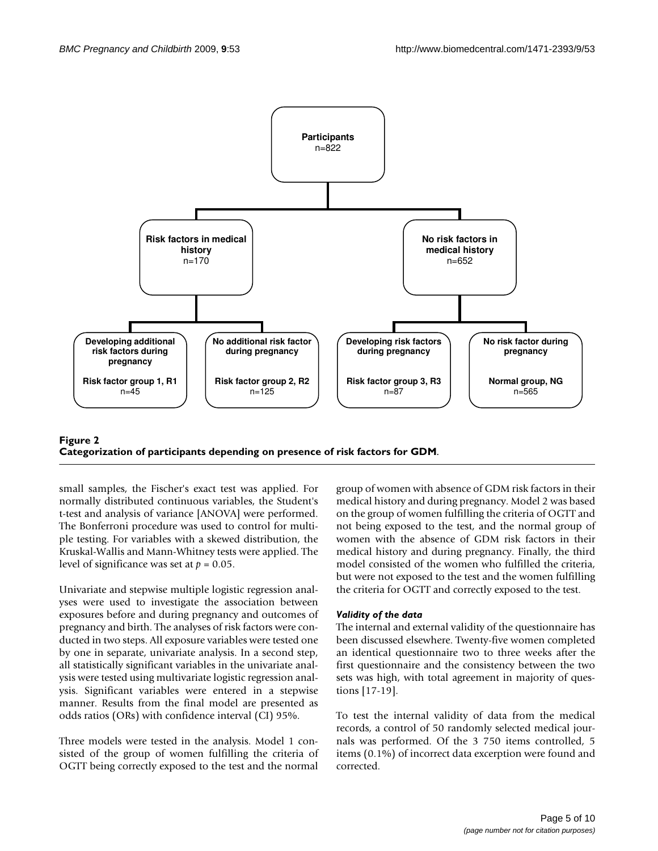<span id="page-4-0"></span>

# Categorization of participants dependin **Figure 2** g on presence of risk factors for GDM **Categorization of participants depending on presence of risk factors for GDM**.

small samples, the Fischer's exact test was applied. For normally distributed continuous variables, the Student's t-test and analysis of variance [ANOVA] were performed. The Bonferroni procedure was used to control for multiple testing. For variables with a skewed distribution, the Kruskal-Wallis and Mann-Whitney tests were applied. The level of significance was set at *p* = 0.05.

Univariate and stepwise multiple logistic regression analyses were used to investigate the association between exposures before and during pregnancy and outcomes of pregnancy and birth. The analyses of risk factors were conducted in two steps. All exposure variables were tested one by one in separate, univariate analysis. In a second step, all statistically significant variables in the univariate analysis were tested using multivariate logistic regression analysis. Significant variables were entered in a stepwise manner. Results from the final model are presented as odds ratios (ORs) with confidence interval (CI) 95%.

Three models were tested in the analysis. Model 1 consisted of the group of women fulfilling the criteria of OGTT being correctly exposed to the test and the normal

group of women with absence of GDM risk factors in their medical history and during pregnancy. Model 2 was based on the group of women fulfilling the criteria of OGTT and not being exposed to the test, and the normal group of women with the absence of GDM risk factors in their medical history and during pregnancy. Finally, the third model consisted of the women who fulfilled the criteria, but were not exposed to the test and the women fulfilling the criteria for OGTT and correctly exposed to the test.

#### *Validity of the data*

The internal and external validity of the questionnaire has been discussed elsewhere. Twenty-five women completed an identical questionnaire two to three weeks after the first questionnaire and the consistency between the two sets was high, with total agreement in majority of questions [\[17-](#page-9-14)[19\]](#page-9-15).

To test the internal validity of data from the medical records, a control of 50 randomly selected medical journals was performed. Of the 3 750 items controlled, 5 items (0.1%) of incorrect data excerption were found and corrected.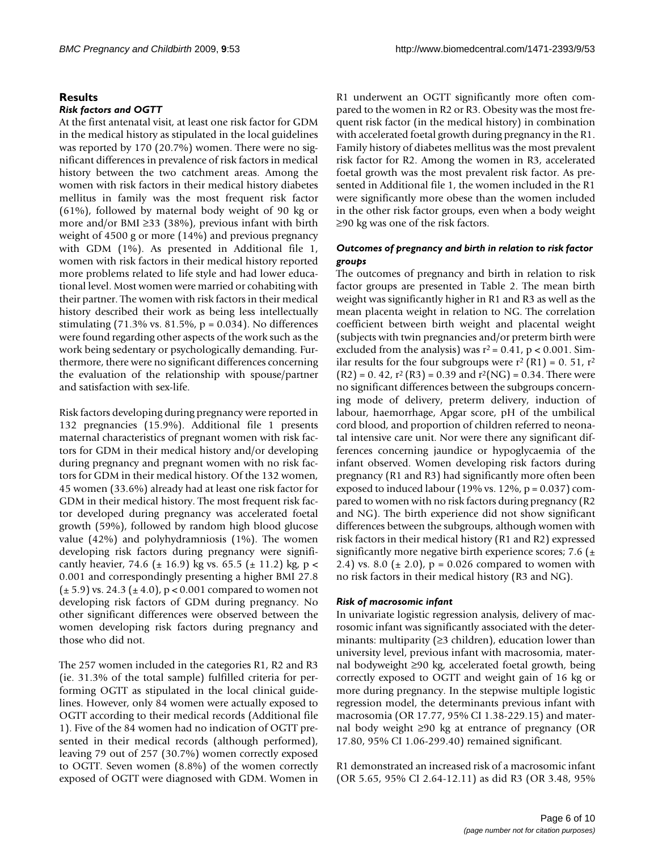#### **Results**

#### *Risk factors and OGTT*

At the first antenatal visit, at least one risk factor for GDM in the medical history as stipulated in the local guidelines was reported by 170 (20.7%) women. There were no significant differences in prevalence of risk factors in medical history between the two catchment areas. Among the women with risk factors in their medical history diabetes mellitus in family was the most frequent risk factor (61%), followed by maternal body weight of 90 kg or more and/or BMI ≥33 (38%), previous infant with birth weight of 4500 g or more (14%) and previous pregnancy with GDM (1%). As presented in Additional file [1,](#page-8-0) women with risk factors in their medical history reported more problems related to life style and had lower educational level. Most women were married or cohabiting with their partner. The women with risk factors in their medical history described their work as being less intellectually stimulating  $(71.3\% \text{ vs. } 81.5\%, \text{ p} = 0.034)$ . No differences were found regarding other aspects of the work such as the work being sedentary or psychologically demanding. Furthermore, there were no significant differences concerning the evaluation of the relationship with spouse/partner and satisfaction with sex-life.

Risk factors developing during pregnancy were reported in 132 pregnancies (15.9%). Additional file [1](#page-8-0) presents maternal characteristics of pregnant women with risk factors for GDM in their medical history and/or developing during pregnancy and pregnant women with no risk factors for GDM in their medical history. Of the 132 women, 45 women (33.6%) already had at least one risk factor for GDM in their medical history. The most frequent risk factor developed during pregnancy was accelerated foetal growth (59%), followed by random high blood glucose value (42%) and polyhydramniosis (1%). The women developing risk factors during pregnancy were significantly heavier, 74.6 ( $\pm$  16.9) kg vs. 65.5 ( $\pm$  11.2) kg, p < 0.001 and correspondingly presenting a higher BMI 27.8  $(\pm 5.9)$  vs. 24.3  $(\pm 4.0)$ , p < 0.001 compared to women not developing risk factors of GDM during pregnancy. No other significant differences were observed between the women developing risk factors during pregnancy and those who did not.

The 257 women included in the categories R1, R2 and R3 (ie. 31.3% of the total sample) fulfilled criteria for performing OGTT as stipulated in the local clinical guidelines. However, only 84 women were actually exposed to OGTT according to their medical records (Additional file [1\)](#page-8-0). Five of the 84 women had no indication of OGTT presented in their medical records (although performed), leaving 79 out of 257 (30.7%) women correctly exposed to OGTT. Seven women (8.8%) of the women correctly exposed of OGTT were diagnosed with GDM. Women in

R1 underwent an OGTT significantly more often compared to the women in R2 or R3. Obesity was the most frequent risk factor (in the medical history) in combination with accelerated foetal growth during pregnancy in the R1. Family history of diabetes mellitus was the most prevalent risk factor for R2. Among the women in R3, accelerated foetal growth was the most prevalent risk factor. As presented in Additional file [1](#page-8-0), the women included in the R1 were significantly more obese than the women included in the other risk factor groups, even when a body weight ≥90 kg was one of the risk factors.

#### *Outcomes of pregnancy and birth in relation to risk factor groups*

The outcomes of pregnancy and birth in relation to risk factor groups are presented in Table [2.](#page-6-0) The mean birth weight was significantly higher in R1 and R3 as well as the mean placenta weight in relation to NG. The correlation coefficient between birth weight and placental weight (subjects with twin pregnancies and/or preterm birth were excluded from the analysis) was  $r^2 = 0.41$ ,  $p < 0.001$ . Similar results for the four subgroups were  $r^2$  (R1) = 0. 51,  $r^2$  $(R2) = 0.42$ ,  $r^2(R3) = 0.39$  and  $r^2(NG) = 0.34$ . There were no significant differences between the subgroups concerning mode of delivery, preterm delivery, induction of labour, haemorrhage, Apgar score, pH of the umbilical cord blood, and proportion of children referred to neonatal intensive care unit. Nor were there any significant differences concerning jaundice or hypoglycaemia of the infant observed. Women developing risk factors during pregnancy (R1 and R3) had significantly more often been exposed to induced labour (19% vs.  $12\%$ , p = 0.037) compared to women with no risk factors during pregnancy (R2 and NG). The birth experience did not show significant differences between the subgroups, although women with risk factors in their medical history (R1 and R2) expressed significantly more negative birth experience scores; 7.6  $(\pm$ 2.4) vs. 8.0 ( $\pm$  2.0), p = 0.026 compared to women with no risk factors in their medical history (R3 and NG).

#### *Risk of macrosomic infant*

In univariate logistic regression analysis, delivery of macrosomic infant was significantly associated with the determinants: multiparity  $(≥3$  children), education lower than university level, previous infant with macrosomia, maternal bodyweight ≥90 kg, accelerated foetal growth, being correctly exposed to OGTT and weight gain of 16 kg or more during pregnancy. In the stepwise multiple logistic regression model, the determinants previous infant with macrosomia (OR 17.77, 95% CI 1.38-229.15) and maternal body weight ≥90 kg at entrance of pregnancy (OR 17.80, 95% CI 1.06-299.40) remained significant.

R1 demonstrated an increased risk of a macrosomic infant (OR 5.65, 95% CI 2.64-12.11) as did R3 (OR 3.48, 95%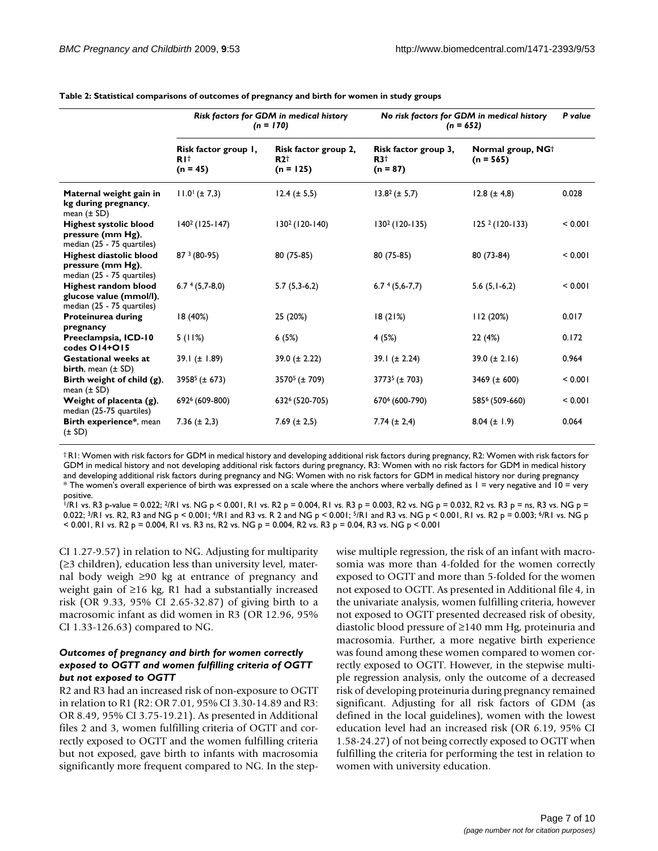|                                                                                      | Risk factors for GDM in medical history<br>$(n = 170)$ |                                                        | No risk factors for GDM in medical history<br>$(n = 652)$ |                                              | P value |
|--------------------------------------------------------------------------------------|--------------------------------------------------------|--------------------------------------------------------|-----------------------------------------------------------|----------------------------------------------|---------|
|                                                                                      | Risk factor group 1,<br>R <sub>It</sub><br>$(n = 45)$  | Risk factor group 2.<br>R2 <sup>†</sup><br>$(n = 125)$ | Risk factor group 3,<br>R3 <sup>†</sup><br>$(n = 87)$     | Normal group, NG <sup>+</sup><br>$(n = 565)$ |         |
| Maternal weight gain in<br>kg during pregnancy,<br>mean $(\pm SD)$                   | $11.0^{+} (\pm 7.3)$                                   | $12.4 (\pm 5.5)$                                       | $13.8^2 (\pm 5.7)$                                        | $12.8 (\pm 4.8)$                             | 0.028   |
| <b>Highest systolic blood</b><br>pressure (mm Hg),<br>median (25 - 75 quartiles)     | $1402$ (125-147)                                       | $1302$ (120-140)                                       | $1302$ (120-135)                                          | $1252$ (120-133)                             | < 0.001 |
| Highest diastolic blood<br>pressure (mm Hg),<br>median (25 - 75 quartiles)           | $873$ (80-95)                                          | 80 (75-85)                                             | 80 (75-85)                                                | 80 (73-84)                                   | < 0.001 |
| <b>Highest random blood</b><br>glucose value (mmol/l),<br>median (25 - 75 quartiles) | $6.74(5,7-8,0)$                                        | $5.7(5,3-6,2)$                                         | $6.74(5,6-7,7)$                                           | $5.6(5, 1-6, 2)$                             | < 0.001 |
| Proteinurea during                                                                   | 18 (40%)                                               | 25 (20%)                                               | 18(21%)                                                   | 112(20%)                                     | 0.017   |
| pregnancy<br>Preeclampsia, ICD-10<br>codes O14+O15                                   | 5(11%)                                                 | 6(5%)                                                  | 4 (5%)                                                    | 22 (4%)                                      | 0.172   |
| <b>Gestational weeks at</b><br><b>birth</b> , mean $(\pm SD)$                        | 39.1 (± 1.89)                                          | 39.0 $(\pm 2.22)$                                      | 39.1 $(\pm 2.24)$                                         | 39.0 $(\pm 2.16)$                            | 0.964   |
| Birth weight of child $(g)$ ,<br>mean $(\pm SD)$                                     | 3958 <sup>5</sup> (± 673)                              | $35705$ (± 709)                                        | $37735$ (± 703)                                           | 3469 ( $\pm$ 600)                            | < 0.001 |
| Weight of placenta $(g)$ ,<br>median (25-75 quartiles)                               | 692 <sup>6</sup> (609-800)                             | 632 <sup>6</sup> (520-705)                             | 670 <sup>6</sup> (600-790)                                | 585 <sup>6</sup> (509-660)                   | < 0.001 |
| Birth experience*, mean<br>$(\pm SD)$                                                | 7.36 $(\pm 2,3)$                                       | $7.69 (\pm 2.5)$                                       | 7.74 $(\pm 2,4)$                                          | $8.04 (\pm 1.9)$                             | 0.064   |

<span id="page-6-0"></span>**Table 2: Statistical comparisons of outcomes of pregnancy and birth for women in study groups**

† R1: Women with risk factors for GDM in medical history and developing additional risk factors during pregnancy, R2: Women with risk factors for GDM in medical history and not developing additional risk factors during pregnancy, R3: Women with no risk factors for GDM in medical history and developing additional risk factors during pregnancy and NG: Women with no risk factors for GDM in medical history nor during pregnancy \* The women's overall experience of birth was expressed on a scale where the anchors where verbally defined as 1 = very negative and 10 = very positive.

<sup>1</sup>/R1 vs. R3 p-value = 0.022; <sup>2</sup>/R1 vs. NG p < 0.001, R1 vs. R2 p = 0.004, R1 vs. R3 p = 0.003, R2 vs. NG p = 0.032, R2 vs. R3 p = ns, R3 vs. NG p = 0.022; 3/R1 vs. R2, R3 and NG p < 0.001; 4/R1 and R3 vs. R 2 and NG p < 0.001; 5/R1 and R3 vs. NG p < 0.001, R1 vs. R2 p = 0.003; 6/R1 vs. NG p  $<$  0.001, R1 vs. R2 p = 0.004, R1 vs. R3 ns, R2 vs. NG p = 0.004, R2 vs. R3 p = 0.04, R3 vs. NG p  $<$  0.001

CI 1.27-9.57) in relation to NG. Adjusting for multiparity (≥3 children), education less than university level, maternal body weigh ≥90 kg at entrance of pregnancy and weight gain of ≥16 kg, R1 had a substantially increased risk (OR 9.33, 95% CI 2.65-32.87) of giving birth to a macrosomic infant as did women in R3 (OR 12.96, 95% CI 1.33-126.63) compared to NG.

#### *Outcomes of pregnancy and birth for women correctly exposed to OGTT and women fulfilling criteria of OGTT but not exposed to OGTT*

R2 and R3 had an increased risk of non-exposure to OGTT in relation to R1 (R2: OR 7.01, 95% CI 3.30-14.89 and R3: OR 8.49, 95% CI 3.75-19.21). As presented in Additional files [2](#page-8-1) and [3](#page-8-2), women fulfilling criteria of OGTT and correctly exposed to OGTT and the women fulfilling criteria but not exposed, gave birth to infants with macrosomia significantly more frequent compared to NG. In the stepwise multiple regression, the risk of an infant with macrosomia was more than 4-folded for the women correctly exposed to OGTT and more than 5-folded for the women not exposed to OGTT. As presented in Additional file [4,](#page-9-17) in the univariate analysis, women fulfilling criteria, however not exposed to OGTT presented decreased risk of obesity, diastolic blood pressure of ≥140 mm Hg, proteinuria and macrosomia. Further, a more negative birth experience was found among these women compared to women correctly exposed to OGTT. However, in the stepwise multiple regression analysis, only the outcome of a decreased risk of developing proteinuria during pregnancy remained significant. Adjusting for all risk factors of GDM (as defined in the local guidelines), women with the lowest education level had an increased risk (OR 6.19, 95% CI 1.58-24.27) of not being correctly exposed to OGTT when fulfilling the criteria for performing the test in relation to women with university education.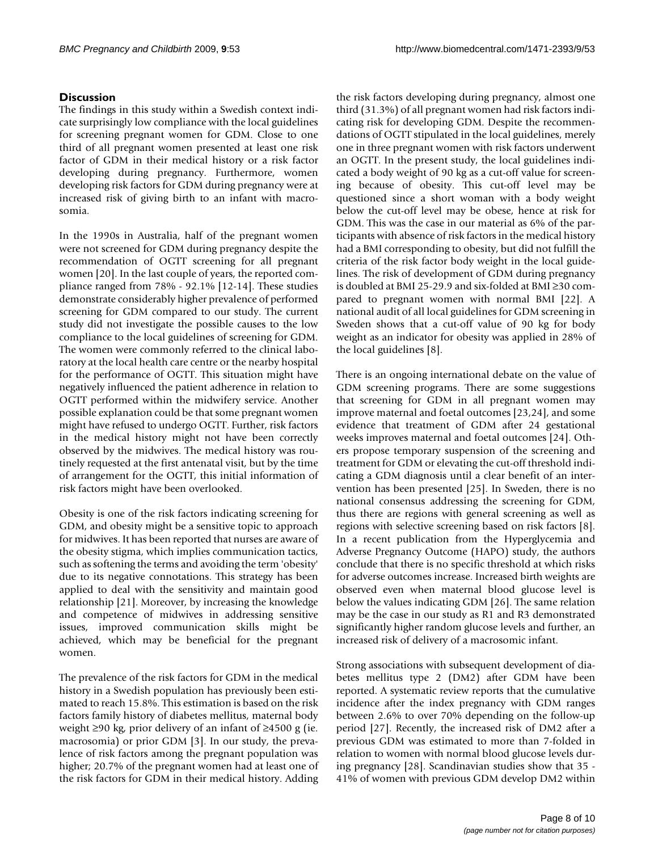# **Discussion**

The findings in this study within a Swedish context indicate surprisingly low compliance with the local guidelines for screening pregnant women for GDM. Close to one third of all pregnant women presented at least one risk factor of GDM in their medical history or a risk factor developing during pregnancy. Furthermore, women developing risk factors for GDM during pregnancy were at increased risk of giving birth to an infant with macrosomia.

In the 1990s in Australia, half of the pregnant women were not screened for GDM during pregnancy despite the recommendation of OGTT screening for all pregnant women [\[20](#page-9-18)]. In the last couple of years, the reported compliance ranged from 78% - 92.1% [\[12](#page-9-9)[-14](#page-9-11)]. These studies demonstrate considerably higher prevalence of performed screening for GDM compared to our study. The current study did not investigate the possible causes to the low compliance to the local guidelines of screening for GDM. The women were commonly referred to the clinical laboratory at the local health care centre or the nearby hospital for the performance of OGTT. This situation might have negatively influenced the patient adherence in relation to OGTT performed within the midwifery service. Another possible explanation could be that some pregnant women might have refused to undergo OGTT. Further, risk factors in the medical history might not have been correctly observed by the midwives. The medical history was routinely requested at the first antenatal visit, but by the time of arrangement for the OGTT, this initial information of risk factors might have been overlooked.

Obesity is one of the risk factors indicating screening for GDM, and obesity might be a sensitive topic to approach for midwives. It has been reported that nurses are aware of the obesity stigma, which implies communication tactics, such as softening the terms and avoiding the term 'obesity' due to its negative connotations. This strategy has been applied to deal with the sensitivity and maintain good relationship [[21\]](#page-9-19). Moreover, by increasing the knowledge and competence of midwives in addressing sensitive issues, improved communication skills might be achieved, which may be beneficial for the pregnant women.

The prevalence of the risk factors for GDM in the medical history in a Swedish population has previously been estimated to reach 15.8%. This estimation is based on the risk factors family history of diabetes mellitus, maternal body weight ≥90 kg, prior delivery of an infant of ≥4500 g (ie. macrosomia) or prior GDM [[3](#page-9-2)]. In our study, the prevalence of risk factors among the pregnant population was higher; 20.7% of the pregnant women had at least one of the risk factors for GDM in their medical history. Adding the risk factors developing during pregnancy, almost one third (31.3%) of all pregnant women had risk factors indicating risk for developing GDM. Despite the recommendations of OGTT stipulated in the local guidelines, merely one in three pregnant women with risk factors underwent an OGTT. In the present study, the local guidelines indicated a body weight of 90 kg as a cut-off value for screening because of obesity. This cut-off level may be questioned since a short woman with a body weight below the cut-off level may be obese, hence at risk for GDM. This was the case in our material as 6% of the participants with absence of risk factors in the medical history had a BMI corresponding to obesity, but did not fulfill the criteria of the risk factor body weight in the local guidelines. The risk of development of GDM during pregnancy is doubled at BMI 25-29.9 and six-folded at BMI ≥30 compared to pregnant women with normal BMI [\[22](#page-9-20)]. A national audit of all local guidelines for GDM screening in Sweden shows that a cut-off value of 90 kg for body weight as an indicator for obesity was applied in 28% of the local guidelines [[8](#page-9-5)].

There is an ongoing international debate on the value of GDM screening programs. There are some suggestions that screening for GDM in all pregnant women may improve maternal and foetal outcomes [\[23](#page-9-21)[,24](#page-9-22)], and some evidence that treatment of GDM after 24 gestational weeks improves maternal and foetal outcomes [[24\]](#page-9-22). Others propose temporary suspension of the screening and treatment for GDM or elevating the cut-off threshold indicating a GDM diagnosis until a clear benefit of an intervention has been presented [\[25](#page-9-23)]. In Sweden, there is no national consensus addressing the screening for GDM, thus there are regions with general screening as well as regions with selective screening based on risk factors [[8](#page-9-5)]. In a recent publication from the Hyperglycemia and Adverse Pregnancy Outcome (HAPO) study, the authors conclude that there is no specific threshold at which risks for adverse outcomes increase. Increased birth weights are observed even when maternal blood glucose level is below the values indicating GDM [[26\]](#page-9-24). The same relation may be the case in our study as R1 and R3 demonstrated significantly higher random glucose levels and further, an increased risk of delivery of a macrosomic infant.

Strong associations with subsequent development of diabetes mellitus type 2 (DM2) after GDM have been reported. A systematic review reports that the cumulative incidence after the index pregnancy with GDM ranges between 2.6% to over 70% depending on the follow-up period [[27\]](#page-9-25). Recently, the increased risk of DM2 after a previous GDM was estimated to more than 7-folded in relation to women with normal blood glucose levels during pregnancy [[28](#page-9-26)]. Scandinavian studies show that 35 - 41% of women with previous GDM develop DM2 within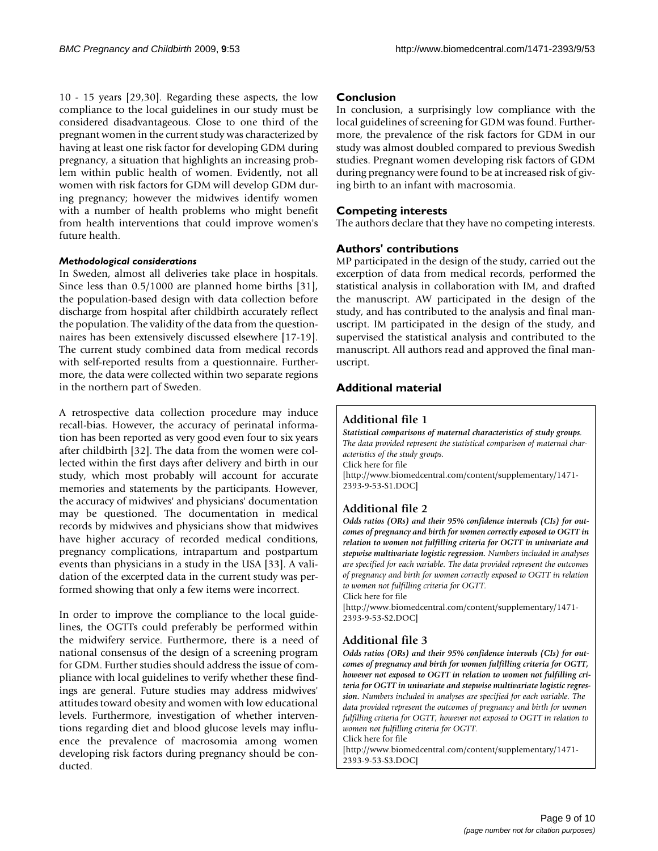10 - 15 years [[29](#page-9-27),[30\]](#page-9-28). Regarding these aspects, the low compliance to the local guidelines in our study must be considered disadvantageous. Close to one third of the pregnant women in the current study was characterized by having at least one risk factor for developing GDM during pregnancy, a situation that highlights an increasing problem within public health of women. Evidently, not all women with risk factors for GDM will develop GDM during pregnancy; however the midwives identify women with a number of health problems who might benefit from health interventions that could improve women's future health.

#### *Methodological considerations*

In Sweden, almost all deliveries take place in hospitals. Since less than 0.5/1000 are planned home births [\[31](#page-9-29)], the population-based design with data collection before discharge from hospital after childbirth accurately reflect the population. The validity of the data from the questionnaires has been extensively discussed elsewhere [\[17](#page-9-14)[-19](#page-9-15)]. The current study combined data from medical records with self-reported results from a questionnaire. Furthermore, the data were collected within two separate regions in the northern part of Sweden.

A retrospective data collection procedure may induce recall-bias. However, the accuracy of perinatal information has been reported as very good even four to six years after childbirth [[32\]](#page-9-30). The data from the women were collected within the first days after delivery and birth in our study, which most probably will account for accurate memories and statements by the participants. However, the accuracy of midwives' and physicians' documentation may be questioned. The documentation in medical records by midwives and physicians show that midwives have higher accuracy of recorded medical conditions, pregnancy complications, intrapartum and postpartum events than physicians in a study in the USA [\[33](#page-9-31)]. A validation of the excerpted data in the current study was performed showing that only a few items were incorrect.

In order to improve the compliance to the local guidelines, the OGTTs could preferably be performed within the midwifery service. Furthermore, there is a need of national consensus of the design of a screening program for GDM. Further studies should address the issue of compliance with local guidelines to verify whether these findings are general. Future studies may address midwives' attitudes toward obesity and women with low educational levels. Furthermore, investigation of whether interventions regarding diet and blood glucose levels may influence the prevalence of macrosomia among women developing risk factors during pregnancy should be conducted.

#### **Conclusion**

In conclusion, a surprisingly low compliance with the local guidelines of screening for GDM was found. Furthermore, the prevalence of the risk factors for GDM in our study was almost doubled compared to previous Swedish studies. Pregnant women developing risk factors of GDM during pregnancy were found to be at increased risk of giving birth to an infant with macrosomia.

## **Competing interests**

The authors declare that they have no competing interests.

# **Authors' contributions**

MP participated in the design of the study, carried out the excerption of data from medical records, performed the statistical analysis in collaboration with IM, and drafted the manuscript. AW participated in the design of the study, and has contributed to the analysis and final manuscript. IM participated in the design of the study, and supervised the statistical analysis and contributed to the manuscript. All authors read and approved the final manuscript.

# **Additional material**

#### <span id="page-8-0"></span>**Additional file 1**

*Statistical comparisons of maternal characteristics of study groups. The data provided represent the statistical comparison of maternal characteristics of the study groups.* Click here for file [\[http://www.biomedcentral.com/content/supplementary/1471-](http://www.biomedcentral.com/content/supplementary/1471-2393-9-53-S1.DOC) 2393-9-53-S1.DOC]

# <span id="page-8-1"></span>**Additional file 2**

*Odds ratios (ORs) and their 95% confidence intervals (CIs) for outcomes of pregnancy and birth for women correctly exposed to OGTT in relation to women not fulfilling criteria for OGTT in univariate and stepwise multivariate logistic regression. Numbers included in analyses are specified for each variable. The data provided represent the outcomes of pregnancy and birth for women correctly exposed to OGTT in relation to women not fulfilling criteria for OGTT.*

Click here for file

[\[http://www.biomedcentral.com/content/supplementary/1471-](http://www.biomedcentral.com/content/supplementary/1471-2393-9-53-S2.DOC) 2393-9-53-S2.DOC]

# <span id="page-8-2"></span>**Additional file 3**

*Odds ratios (ORs) and their 95% confidence intervals (CIs) for outcomes of pregnancy and birth for women fulfilling criteria for OGTT, however not exposed to OGTT in relation to women not fulfilling criteria for OGTT in univariate and stepwise multivariate logistic regression. Numbers included in analyses are specified for each variable. The data provided represent the outcomes of pregnancy and birth for women fulfilling criteria for OGTT, however not exposed to OGTT in relation to women not fulfilling criteria for OGTT.*

Click here for file

[\[http://www.biomedcentral.com/content/supplementary/1471-](http://www.biomedcentral.com/content/supplementary/1471-2393-9-53-S3.DOC) 2393-9-53-S3.DOC]